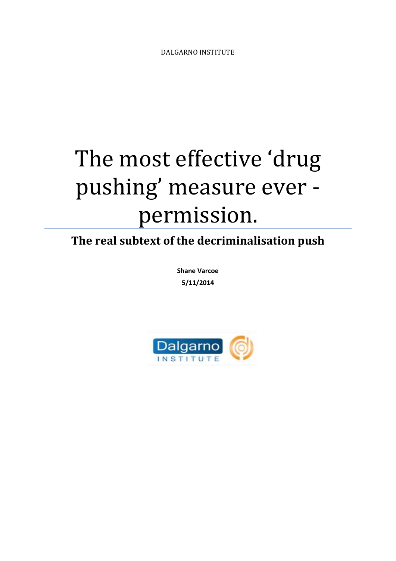## The most effective 'drug pushing' measure ever permission.

**The real subtext of the decriminalisation push**

**Shane Varcoe 5/11/2014**

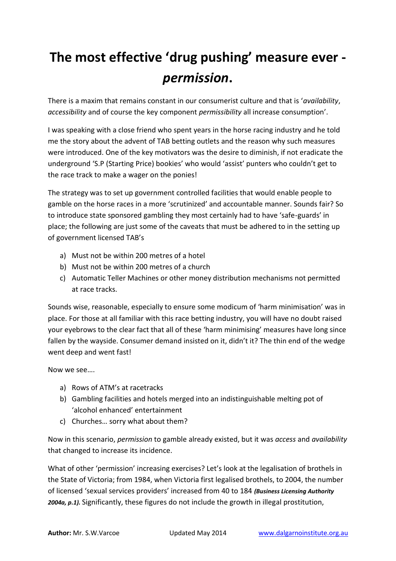## **The most effective 'drug pushing' measure ever**  *permission***.**

There is a maxim that remains constant in our consumerist culture and that is '*availability*, *accessibility* and of course the key component *permissibility* all increase consumption'.

I was speaking with a close friend who spent years in the horse racing industry and he told me the story about the advent of TAB betting outlets and the reason why such measures were introduced. One of the key motivators was the desire to diminish, if not eradicate the underground 'S.P (Starting Price) bookies' who would 'assist' punters who couldn't get to the race track to make a wager on the ponies!

The strategy was to set up government controlled facilities that would enable people to gamble on the horse races in a more 'scrutinized' and accountable manner. Sounds fair? So to introduce state sponsored gambling they most certainly had to have 'safe-guards' in place; the following are just some of the caveats that must be adhered to in the setting up of government licensed TAB's

- a) Must not be within 200 metres of a hotel
- b) Must not be within 200 metres of a church
- c) Automatic Teller Machines or other money distribution mechanisms not permitted at race tracks.

Sounds wise, reasonable, especially to ensure some modicum of 'harm minimisation' was in place. For those at all familiar with this race betting industry, you will have no doubt raised your eyebrows to the clear fact that all of these 'harm minimising' measures have long since fallen by the wayside. Consumer demand insisted on it, didn't it? The thin end of the wedge went deep and went fast!

Now we see….

- a) Rows of ATM's at racetracks
- b) Gambling facilities and hotels merged into an indistinguishable melting pot of 'alcohol enhanced' entertainment
- c) Churches… sorry what about them?

Now in this scenario, *permission* to gamble already existed, but it was *access* and *availability* that changed to increase its incidence.

What of other 'permission' increasing exercises? Let's look at the legalisation of brothels in the State of Victoria; from 1984, when Victoria first legalised brothels, to 2004, the number of licensed 'sexual services providers' increased from 40 to 184 *(Business Licensing Authority 2004a, p.1).* Significantly, these figures do not include the growth in illegal prostitution,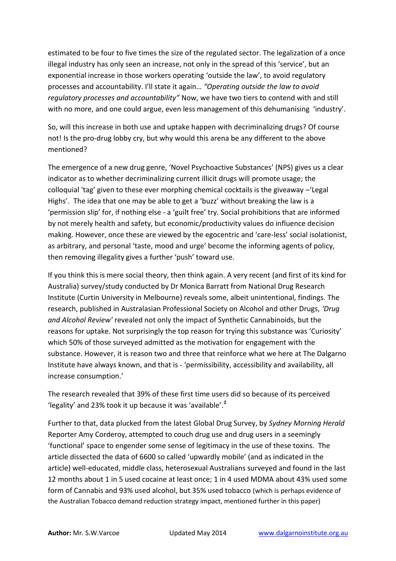estimated to be four to five times the size of the regulated sector. The legalization of a once illegal industry has only seen an increase, not only in the spread of this 'service', but an exponential increase in those workers operating 'outside the law', to avoid regulatory processes and accountability. I'll state it again… *"Operating outside the law to avoid regulatory processes and accountability"* Now, we have two tiers to contend with and still with no more, and one could argue, even less management of this dehumanising 'industry'.

So, will this increase in both use and uptake happen with decriminalizing drugs? Of course not! Is the pro-drug lobby cry, but why would this arena be any different to the above mentioned?

The emergence of a new drug genre, 'Novel Psychoactive Substances' (NPS) gives us a clear indicator as to whether decriminalizing current illicit drugs will promote usage; the colloquial 'tag' given to these ever morphing chemical cocktails is the giveaway –'Legal Highs'. The idea that one may be able to get a 'buzz' without breaking the law is a 'permission slip' for, if nothing else - a 'guilt free' try. Social prohibitions that are informed by not merely health and safety, but economic/productivity values do influence decision making. However, once these are viewed by the egocentric and 'care-less' social isolationist, as arbitrary, and personal 'taste, mood and urge' become the informing agents of policy, then removing illegality gives a further 'push' toward use.

If you think this is mere social theory, then think again. A very recent (and first of its kind for Australia) survey/study conducted by Dr Monica Barratt from National Drug Research Institute (Curtin University in Melbourne) reveals some, albeit unintentional, findings. The research, published in Australasian Professional Society on Alcohol and other Drugs, *'Drug and Alcohol Review'* revealed not only the impact of Synthetic Cannabinoids, but the reasons for uptake. Not surprisingly the top reason for trying this substance was 'Curiosity' which 50% of those surveyed admitted as the motivation for engagement with the substance. However, it is reason two and three that reinforce what we here at The Dalgarno Institute have always known, and that is - 'permissibility, accessibility and availability, all increase consumption.'

The research revealed that 39% of these first time users did so because of its perceived 'legality' and 23% took it up because it was 'available'. *1*

Further to that, data plucked from the latest Global Drug Survey, by *Sydney Morning Herald* Reporter Amy Corderoy, attempted to couch drug use and drug users in a seemingly 'functional' space to engender some sense of legitimacy in the use of these toxins. The article dissected the data of 6600 so called 'upwardly mobile' (and as indicated in the article) well-educated, middle class, heterosexual Australians surveyed and found in the last 12 months about 1 in 5 used cocaine at least once; 1 in 4 used MDMA about 43% used some form of Cannabis and 93% used alcohol, but 35% used tobacco (which is perhaps evidence of the Australian Tobacco demand reduction strategy impact, mentioned further in this paper)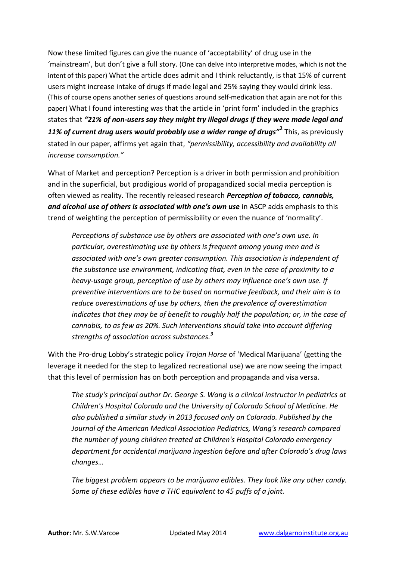Now these limited figures can give the nuance of 'acceptability' of drug use in the 'mainstream', but don't give a full story. (One can delve into interpretive modes, which is not the intent of this paper) What the article does admit and I think reluctantly, is that 15% of current users might increase intake of drugs if made legal and 25% saying they would drink less. (This of course opens another series of questions around self-medication that again are not for this paper) What I found interesting was that the article in 'print form' included in the graphics states that *"21% of non-users say they might try illegal drugs if they were made legal and 11% of current drug users would probably use a wider range of drugs"***<sup>2</sup>** This, as previously stated in our paper, affirms yet again that, *"permissibility, accessibility and availability all increase consumption."*

What of Market and perception? Perception is a driver in both permission and prohibition and in the superficial, but prodigious world of propagandized social media perception is often viewed as reality. The recently released research *Perception of tobacco, cannabis, and alcohol use of others is associated with one's own use* in ASCP adds emphasis to this trend of weighting the perception of permissibility or even the nuance of 'normality'.

*Perceptions of substance use by others are associated with one's own use. In particular, overestimating use by others is frequent among young men and is associated with one's own greater consumption. This association is independent of the substance use environment, indicating that, even in the case of proximity to a heavy-usage group, perception of use by others may influence one's own use. If preventive interventions are to be based on normative feedback, and their aim is to reduce overestimations of use by others, then the prevalence of overestimation indicates that they may be of benefit to roughly half the population; or, in the case of cannabis, to as few as 20%. Such interventions should take into account differing strengths of association across substances.<sup>3</sup>*

With the Pro-drug Lobby's strategic policy *Trojan Horse* of 'Medical Marijuana' (getting the leverage it needed for the step to legalized recreational use) we are now seeing the impact that this level of permission has on both perception and propaganda and visa versa.

*The study's principal author Dr. George S. Wang is a clinical instructor in pediatrics at Children's Hospital Colorado and the University of Colorado School of Medicine. He also published a similar study in 2013 focused only on Colorado. Published by the Journal of the American Medical Association Pediatrics, Wang's research compared the number of young children treated at Children's Hospital Colorado emergency department for accidental marijuana ingestion before and after Colorado's drug laws changes…*

*The biggest problem appears to be marijuana edibles. They look like any other candy. Some of these edibles have a THC equivalent to 45 puffs of a joint.*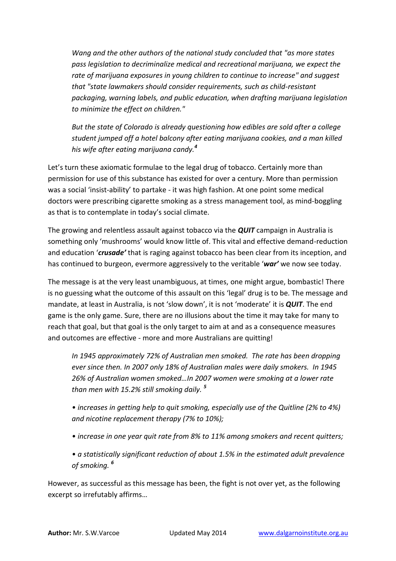*Wang and the other authors of the national study concluded that "as more states pass legislation to decriminalize medical and recreational marijuana, we expect the rate of marijuana exposures in young children to continue to increase" and suggest that "state lawmakers should consider requirements, such as child-resistant packaging, warning labels, and public education, when drafting marijuana legislation to minimize the effect on children."*

*But the state of Colorado is already questioning how edibles are sold after a college student jumped off a hotel balcony after eating marijuana cookies, and a man killed his wife after eating marijuana candy.<sup>4</sup>*

Let's turn these axiomatic formulae to the legal drug of tobacco. Certainly more than permission for use of this substance has existed for over a century. More than permission was a social 'insist-ability' to partake - it was high fashion. At one point some medical doctors were prescribing cigarette smoking as a stress management tool, as mind-boggling as that is to contemplate in today's social climate.

The growing and relentless assault against tobacco via the *QUIT* campaign in Australia is something only 'mushrooms' would know little of. This vital and effective demand-reduction and education '*crusade'* that is raging against tobacco has been clear from its inception, and has continued to burgeon, evermore aggressively to the veritable '*war'* we now see today.

The message is at the very least unambiguous, at times, one might argue, bombastic! There is no guessing what the outcome of this assault on this 'legal' drug is to be. The message and mandate, at least in Australia, is not 'slow down', it is not 'moderate' it is *QUIT*. The end game is the only game. Sure, there are no illusions about the time it may take for many to reach that goal, but that goal is the only target to aim at and as a consequence measures and outcomes are effective - more and more Australians are quitting!

*In 1945 approximately 72% of Australian men smoked. The rate has been dropping ever since then. In 2007 only 18% of Australian males were daily smokers. In 1945 26% of Australian women smoked…In 2007 women were smoking at a lower rate than men with 15.2% still smoking daily. <sup>5</sup>*

*• increases in getting help to quit smoking, especially use of the Quitline (2% to 4%) and nicotine replacement therapy (7% to 10%);*

- *increase in one year quit rate from 8% to 11% among smokers and recent quitters;*
- *a statistically significant reduction of about 1.5% in the estimated adult prevalence of smoking. <sup>6</sup>*

However, as successful as this message has been, the fight is not over yet, as the following excerpt so irrefutably affirms…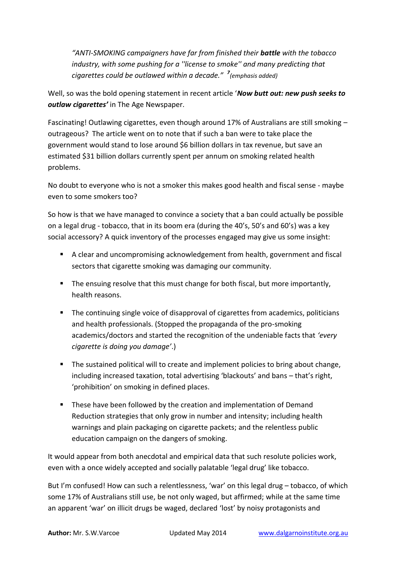*"ANTI-SMOKING campaigners have far from finished their battle with the tobacco industry, with some pushing for a ''license to smoke'' and many predicting that cigarettes could be outlawed within a decade." <sup>7</sup> (emphasis added)*

Well, so was the bold opening statement in recent article '*Now butt out: new push seeks to outlaw cigarettes'* in The Age Newspaper.

Fascinating! Outlawing cigarettes, even though around 17% of Australians are still smoking – outrageous? The article went on to note that if such a ban were to take place the government would stand to lose around \$6 billion dollars in tax revenue, but save an estimated \$31 billion dollars currently spent per annum on smoking related health problems.

No doubt to everyone who is not a smoker this makes good health and fiscal sense - maybe even to some smokers too?

So how is that we have managed to convince a society that a ban could actually be possible on a legal drug - tobacco, that in its boom era (during the 40's, 50's and 60's) was a key social accessory? A quick inventory of the processes engaged may give us some insight:

- A clear and uncompromising acknowledgement from health, government and fiscal sectors that cigarette smoking was damaging our community.
- The ensuing resolve that this must change for both fiscal, but more importantly, health reasons.
- **The continuing single voice of disapproval of cigarettes from academics, politicians** and health professionals. (Stopped the propaganda of the pro-smoking academics/doctors and started the recognition of the undeniable facts that *'every cigarette is doing you damage'*.)
- **The sustained political will to create and implement policies to bring about change,** including increased taxation, total advertising 'blackouts' and bans – that's right, 'prohibition' on smoking in defined places.
- **These have been followed by the creation and implementation of Demand** Reduction strategies that only grow in number and intensity; including health warnings and plain packaging on cigarette packets; and the relentless public education campaign on the dangers of smoking.

It would appear from both anecdotal and empirical data that such resolute policies work, even with a once widely accepted and socially palatable 'legal drug' like tobacco.

But I'm confused! How can such a relentlessness, 'war' on this legal drug – tobacco, of which some 17% of Australians still use, be not only waged, but affirmed; while at the same time an apparent 'war' on illicit drugs be waged, declared 'lost' by noisy protagonists and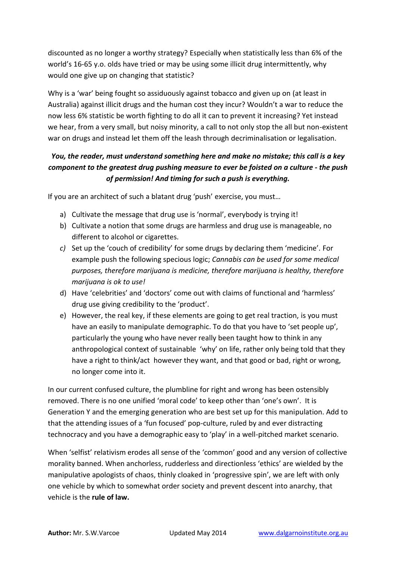discounted as no longer a worthy strategy? Especially when statistically less than 6% of the world's 16-65 y.o. olds have tried or may be using some illicit drug intermittently, why would one give up on changing that statistic?

Why is a 'war' being fought so assiduously against tobacco and given up on (at least in Australia) against illicit drugs and the human cost they incur? Wouldn't a war to reduce the now less 6% statistic be worth fighting to do all it can to prevent it increasing? Yet instead we hear, from a very small, but noisy minority, a call to not only stop the all but non-existent war on drugs and instead let them off the leash through decriminalisation or legalisation.

## *You, the reader, must understand something here and make no mistake; this call is a key component to the greatest drug pushing measure to ever be foisted on a culture - the push of permission! And timing for such a push is everything.*

If you are an architect of such a blatant drug 'push' exercise, you must…

- a) Cultivate the message that drug use is 'normal', everybody is trying it!
- b) Cultivate a notion that some drugs are harmless and drug use is manageable, no different to alcohol or cigarettes.
- *c)* Set up the 'couch of credibility' for some drugs by declaring them 'medicine'. For example push the following specious logic; *Cannabis can be used for some medical purposes, therefore marijuana is medicine, therefore marijuana is healthy, therefore marijuana is ok to use!*
- d) Have 'celebrities' and 'doctors' come out with claims of functional and 'harmless' drug use giving credibility to the 'product'.
- e) However, the real key, if these elements are going to get real traction, is you must have an easily to manipulate demographic. To do that you have to 'set people up', particularly the young who have never really been taught how to think in any anthropological context of sustainable 'why' on life, rather only being told that they have a right to think/act however they want, and that good or bad, right or wrong, no longer come into it.

In our current confused culture, the plumbline for right and wrong has been ostensibly removed. There is no one unified 'moral code' to keep other than 'one's own'. It is Generation Y and the emerging generation who are best set up for this manipulation. Add to that the attending issues of a 'fun focused' pop-culture, ruled by and ever distracting technocracy and you have a demographic easy to 'play' in a well-pitched market scenario.

When 'selfist' relativism erodes all sense of the 'common' good and any version of collective morality banned. When anchorless, rudderless and directionless 'ethics' are wielded by the manipulative apologists of chaos, thinly cloaked in 'progressive spin', we are left with only one vehicle by which to somewhat order society and prevent descent into anarchy, that vehicle is the **rule of law.**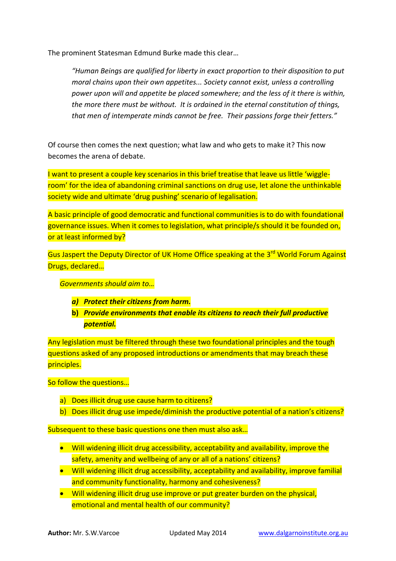The prominent Statesman Edmund Burke made this clear…

*"Human Beings are qualified for liberty in exact proportion to their disposition to put moral chains upon their own appetites... Society cannot exist, unless a controlling power upon will and appetite be placed somewhere; and the less of it there is within, the more there must be without. It is ordained in the eternal constitution of things, that men of intemperate minds cannot be free. Their passions forge their fetters."*

Of course then comes the next question; what law and who gets to make it? This now becomes the arena of debate.

I want to present a couple key scenarios in this brief treatise that leave us little 'wiggleroom' for the idea of abandoning criminal sanctions on drug use, let alone the unthinkable society wide and ultimate 'drug pushing' scenario of legalisation.

A basic principle of good democratic and functional communities is to do with foundational governance issues. When it comes to legislation, what principle/s should it be founded on, or at least informed by?

Gus Jaspert the Deputy Director of UK Home Office speaking at the 3<sup>rd</sup> World Forum Against Drugs, declared…

*Governments should aim to…*

- *a) Protect their citizens from harm.*
- **b)** *Provide environments that enable its citizens to reach their full productive potential.*

Any legislation must be filtered through these two foundational principles and the tough questions asked of any proposed introductions or amendments that may breach these principles.

So follow the questions…

- a) Does illicit drug use cause harm to citizens?
- b) Does illicit drug use impede/diminish the productive potential of a nation's citizens?

Subsequent to these basic questions one then must also ask...

- Will widening illicit drug accessibility, acceptability and availability, improve the safety, amenity and wellbeing of any or all of a nations' citizens?
- Will widening illicit drug accessibility, acceptability and availability, improve familial and community functionality, harmony and cohesiveness?
- Will widening illicit drug use improve or put greater burden on the physical, emotional and mental health of our community?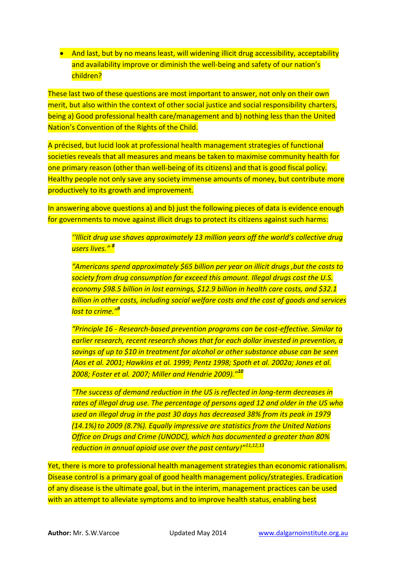• And last, but by no means least, will widening illicit drug accessibility, acceptability and availability improve or diminish the well-being and safety of our nation's children?

These last two of these questions are most important to answer, not only on their own merit, but also within the context of other social justice and social responsibility charters, being a) Good professional health care/management and b) nothing less than the United Nation's Convention of the Rights of the Child.

A précised, but lucid look at professional health management strategies of functional societies reveals that all measures and means be taken to maximise community health for one primary reason (other than well-being of its citizens) and that is good fiscal policy. Healthy people not only save any society immense amounts of money, but contribute more productively to its growth and improvement.

In answering above questions a) and b) just the following pieces of data is evidence enough for governments to move against illicit drugs to protect its citizens against such harms:

*''Illicit drug use shaves approximately 13 million years off the world's collective drug users lives." <sup>8</sup>* 

*"Americans spend approximately \$65 billion per year on illicit drugs ,but the costs to society from drug consumption far exceed this amount. Illegal drugs cost the U.S. economy \$98.5 billion in lost earnings, \$12.9 billion in health care costs, and \$32.1 billion in other costs, including social welfare costs and the cost of goods and services lost to crime."<sup>9</sup>*

*"Principle 16 - Research-based prevention programs can be cost-effective. Similar to earlier research, recent research shows that for each dollar invested in prevention, a savings of up to \$10 in treatment for alcohol or other substance abuse can be seen (Aos et al. 2001; Hawkins et al. 1999; Pentz 1998; Spoth et al. 2002a; Jones et al. 2008; Foster et al. 2007; Miller and Hendrie 2009)."<sup>10</sup>*

*"The success of demand reduction in the US is reflected in long-term decreases in rates of illegal drug use. The percentage of persons aged 12 and older in the US who used an illegal drug in the past 30 days has decreased 38% from its peak in 1979 (14.1%)to 2009 (8.7%). Equally impressive are statistics from the United Nations Office on Drugs and Crime (UNODC), which has documented a greater than 80% reduction in annual opioid use over the past century!"11,12,13*

Yet, there is more to professional health management strategies than economic rationalism. Disease control is a primary goal of good health management policy/strategies. Eradication of any disease is the ultimate goal, but in the interim, management practices can be used with an attempt to alleviate symptoms and to improve health status, enabling best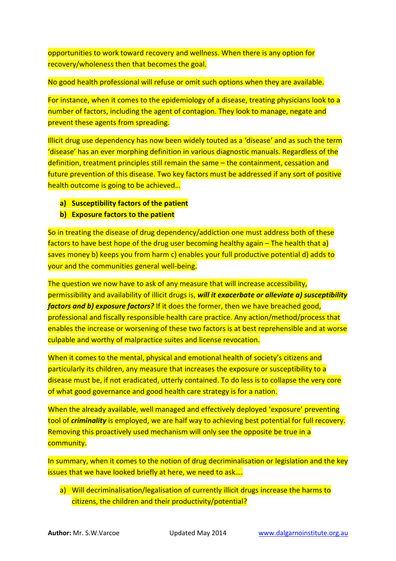opportunities to work toward recovery and wellness. When there is any option for recovery/wholeness then that becomes the goal.

No good health professional will refuse or omit such options when they are available.

For instance, when it comes to the epidemiology of a disease, treating physicians look to a number of factors, including the agent of contagion. They look to manage, negate and prevent these agents from spreading.

Illicit drug use dependency has now been widely touted as a 'disease' and as such the term 'disease' has an ever morphing definition in various diagnostic manuals. Regardless of the definition, treatment principles still remain the same – the containment, cessation and future prevention of this disease. Two key factors must be addressed if any sort of positive health outcome is going to be achieved…

- **a) Susceptibility factors of the patient**
- **b) Exposure factors to the patient**

So in treating the disease of drug dependency/addiction one must address both of these factors to have best hope of the drug user becoming healthy again – The health that a) saves money b) keeps you from harm c) enables your full productive potential d) adds to your and the communities general well-being.

The question we now have to ask of any measure that will increase accessibility, permissibility and availability of illicit drugs is, *will it exacerbate or alleviate a) susceptibility factors and b) exposure factors?* If it does the former, then we have breached good, professional and fiscally responsible health care practice. Any action/method/process that enables the increase or worsening of these two factors is at best reprehensible and at worse culpable and worthy of malpractice suites and license revocation.

When it comes to the mental, physical and emotional health of society's citizens and particularly its children, any measure that increases the exposure or susceptibility to a disease must be, if not eradicated, utterly contained. To do less is to collapse the very core of what good governance and good health care strategy is for a nation.

When the already available, well managed and effectively deployed 'exposure' preventing tool of *criminality* is employed, we are half way to achieving best potential for full recovery. Removing this proactively used mechanism will only see the opposite be true in a community.

In summary, when it comes to the notion of drug decriminalisation or legislation and the key issues that we have looked briefly at here, we need to ask….

a) Will decriminalisation/legalisation of currently illicit drugs increase the harms to citizens, the children and their productivity/potential?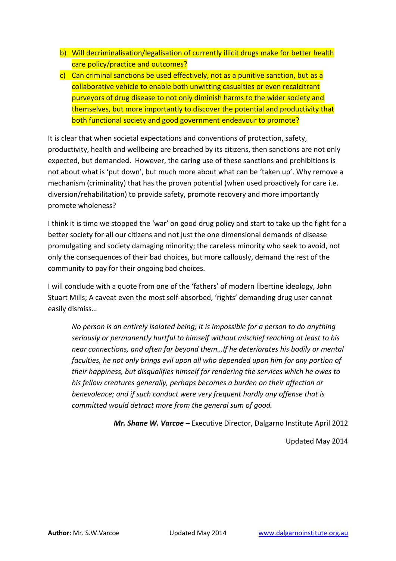- b) Will decriminalisation/legalisation of currently illicit drugs make for better health care policy/practice and outcomes?
- c) Can criminal sanctions be used effectively, not as a punitive sanction, but as a collaborative vehicle to enable both unwitting casualties or even recalcitrant purveyors of drug disease to not only diminish harms to the wider society and themselves, but more importantly to discover the potential and productivity that both functional society and good government endeavour to promote?

It is clear that when societal expectations and conventions of protection, safety, productivity, health and wellbeing are breached by its citizens, then sanctions are not only expected, but demanded. However, the caring use of these sanctions and prohibitions is not about what is 'put down', but much more about what can be 'taken up'. Why remove a mechanism (criminality) that has the proven potential (when used proactively for care i.e. diversion/rehabilitation) to provide safety, promote recovery and more importantly promote wholeness?

I think it is time we stopped the 'war' on good drug policy and start to take up the fight for a better society for all our citizens and not just the one dimensional demands of disease promulgating and society damaging minority; the careless minority who seek to avoid, not only the consequences of their bad choices, but more callously, demand the rest of the community to pay for their ongoing bad choices.

I will conclude with a quote from one of the 'fathers' of modern libertine ideology, John Stuart Mills; A caveat even the most self-absorbed, 'rights' demanding drug user cannot easily dismiss…

*No person is an entirely isolated being; it is impossible for a person to do anything seriously or permanently hurtful to himself without mischief reaching at least to his near connections, and often far beyond them…If he deteriorates his bodily or mental faculties, he not only brings evil upon all who depended upon him for any portion of their happiness, but disqualifies himself for rendering the services which he owes to his fellow creatures generally, perhaps becomes a burden on their affection or benevolence; and if such conduct were very frequent hardly any offense that is committed would detract more from the general sum of good.*

*Mr. Shane W. Varcoe –* Executive Director, Dalgarno Institute April 2012

Updated May 2014